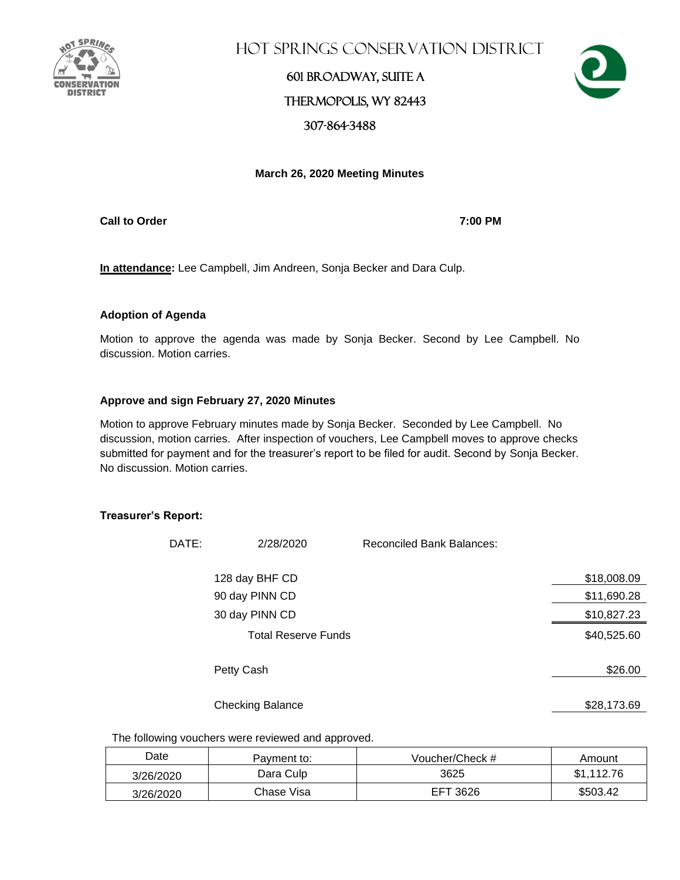

Hot Springs Conservation District

# 601 Broadway, Suite A Thermopolis, WY 82443 307-864-3488



## **March 26, 2020 Meeting Minutes**

**Call to Order 7:00 PM**

**In attendance:** Lee Campbell, Jim Andreen, Sonja Becker and Dara Culp.

## **Adoption of Agenda**

Motion to approve the agenda was made by Sonja Becker. Second by Lee Campbell. No discussion. Motion carries.

## **Approve and sign February 27, 2020 Minutes**

Motion to approve February minutes made by Sonja Becker. Seconded by Lee Campbell. No discussion, motion carries.After inspection of vouchers, Lee Campbell moves to approve checks submitted for payment and for the treasurer's report to be filed for audit. Second by Sonja Becker. No discussion. Motion carries.

#### **Treasurer's Report:**

| DATE: | 2/28/2020                  | <b>Reconciled Bank Balances:</b> |             |
|-------|----------------------------|----------------------------------|-------------|
|       | 128 day BHF CD             |                                  | \$18,008.09 |
|       | 90 day PINN CD             |                                  | \$11,690.28 |
|       | 30 day PINN CD             |                                  | \$10,827.23 |
|       | <b>Total Reserve Funds</b> |                                  | \$40,525.60 |
|       | Petty Cash                 |                                  | \$26.00     |
|       | <b>Checking Balance</b>    |                                  | \$28,173.69 |

The following vouchers were reviewed and approved.

| Date      | Pavment to: | Voucher/Check # | Amount     |
|-----------|-------------|-----------------|------------|
| 3/26/2020 | Dara Culp   | 3625            | \$1.112.76 |
| 3/26/2020 | Chase Visa  | EFT 3626        | \$503.42   |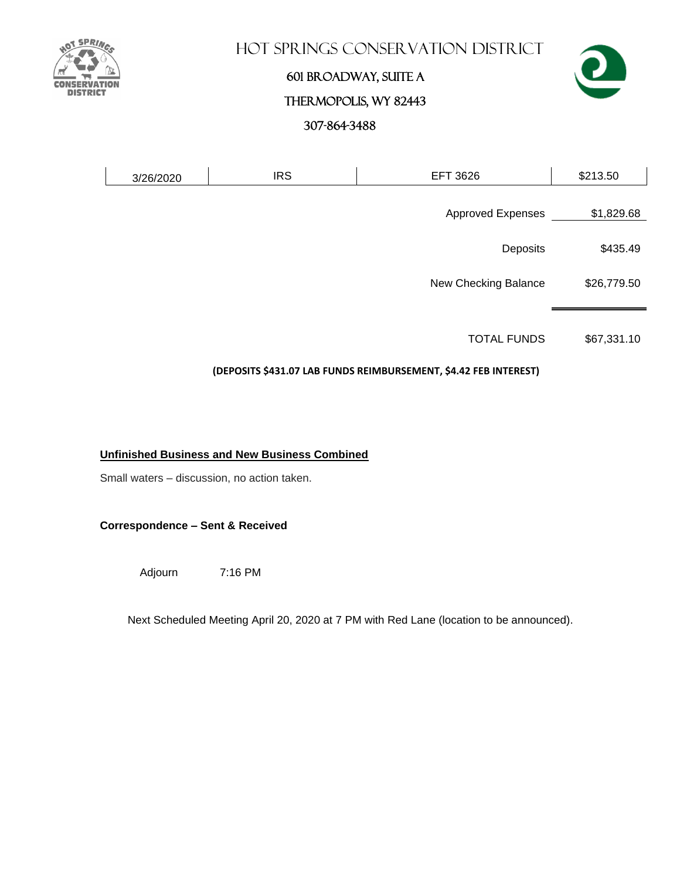

## **HOT SPRINGS CONSERVATION DISTRICT**

# 601 Broadway, Suite A



# Thermopolis, WY 82443

307-864-3488

| 3/26/2020 | <b>IRS</b> | <b>EFT 3626</b>          | \$213.50    |
|-----------|------------|--------------------------|-------------|
|           |            |                          |             |
|           |            | <b>Approved Expenses</b> | \$1,829.68  |
|           |            | Deposits                 | \$435.49    |
|           |            |                          |             |
|           |            | New Checking Balance     | \$26,779.50 |
|           |            |                          |             |
|           |            |                          |             |

TOTAL FUNDS \$67,331.10

## **(DEPOSITS \$431.07 LAB FUNDS REIMBURSEMENT, \$4.42 FEB INTEREST)**

## **Unfinished Business and New Business Combined**

Small waters – discussion, no action taken.

**Correspondence – Sent & Received** 

Adjourn 7:16 PM

Next Scheduled Meeting April 20, 2020 at 7 PM with Red Lane (location to be announced).